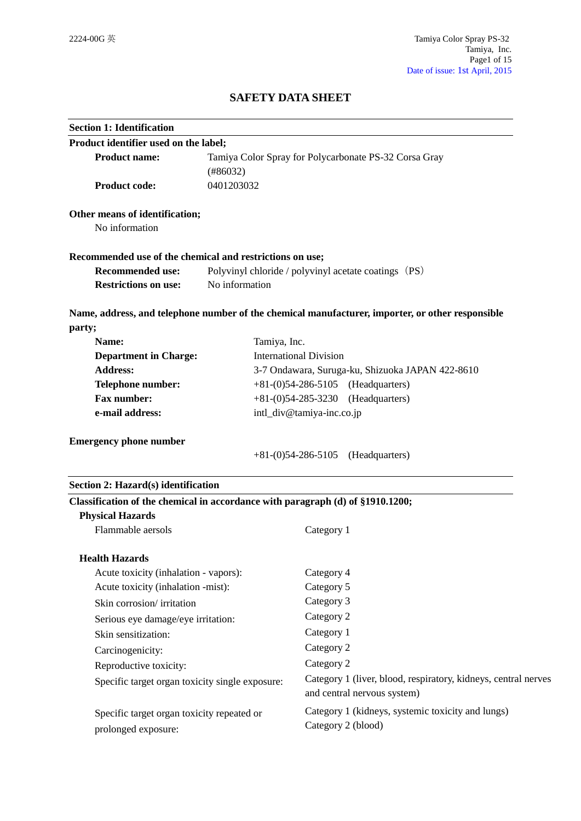# **SAFETY DATA SHEET**

| <b>Section 1: Identification</b>                                               |                                                                   |                                                                                                  |
|--------------------------------------------------------------------------------|-------------------------------------------------------------------|--------------------------------------------------------------------------------------------------|
| Product identifier used on the label;                                          |                                                                   |                                                                                                  |
| <b>Product name:</b>                                                           | Tamiya Color Spray for Polycarbonate PS-32 Corsa Gray<br>(#86032) |                                                                                                  |
| <b>Product code:</b>                                                           | 0401203032                                                        |                                                                                                  |
| Other means of identification;                                                 |                                                                   |                                                                                                  |
| No information                                                                 |                                                                   |                                                                                                  |
| Recommended use of the chemical and restrictions on use;                       |                                                                   |                                                                                                  |
| <b>Recommended use:</b>                                                        |                                                                   | Polyvinyl chloride / polyvinyl acetate coatings (PS)                                             |
| <b>Restrictions on use:</b>                                                    | No information                                                    |                                                                                                  |
|                                                                                |                                                                   | Name, address, and telephone number of the chemical manufacturer, importer, or other responsible |
| party;                                                                         |                                                                   |                                                                                                  |
| Name:                                                                          | Tamiya, Inc.                                                      |                                                                                                  |
| <b>Department in Charge:</b>                                                   |                                                                   | <b>International Division</b>                                                                    |
| <b>Address:</b>                                                                |                                                                   | 3-7 Ondawara, Suruga-ku, Shizuoka JAPAN 422-8610                                                 |
| <b>Telephone number:</b>                                                       |                                                                   | $+81-(0)54-286-5105$ (Headquarters)                                                              |
| <b>Fax number:</b>                                                             |                                                                   | (Headquarters)<br>$+81-(0)54-285-3230$                                                           |
|                                                                                | intl_div@tamiya-inc.co.jp<br>e-mail address:                      |                                                                                                  |
| <b>Emergency phone number</b>                                                  |                                                                   |                                                                                                  |
|                                                                                |                                                                   | (Headquarters)<br>$+81-(0)54-286-5105$                                                           |
| Section 2: Hazard(s) identification                                            |                                                                   |                                                                                                  |
| Classification of the chemical in accordance with paragraph (d) of §1910.1200; |                                                                   |                                                                                                  |
| <b>Physical Hazards</b>                                                        |                                                                   |                                                                                                  |
| Flammable aersols                                                              |                                                                   | Category 1                                                                                       |
| <b>Health Hazards</b>                                                          |                                                                   |                                                                                                  |
| Acute toxicity (inhalation - vapors):                                          |                                                                   | Category 4                                                                                       |
| Acute toxicity (inhalation -mist):                                             |                                                                   | Category 5                                                                                       |
| Skin corrosion/irritation                                                      |                                                                   | Category 3                                                                                       |
| Serious eye damage/eye irritation:                                             |                                                                   | Category 2                                                                                       |
| Skin sensitization:                                                            |                                                                   | Category 1                                                                                       |
| Carcinogenicity:                                                               |                                                                   | Category 2                                                                                       |
| Reproductive toxicity:                                                         |                                                                   | Category 2                                                                                       |
| Specific target organ toxicity single exposure:                                |                                                                   | Category 1 (liver, blood, respiratory, kidneys, central nerves<br>and central nervous system)    |
| Specific target organ toxicity repeated or<br>prolonged exposure:              |                                                                   | Category 1 (kidneys, systemic toxicity and lungs)<br>Category 2 (blood)                          |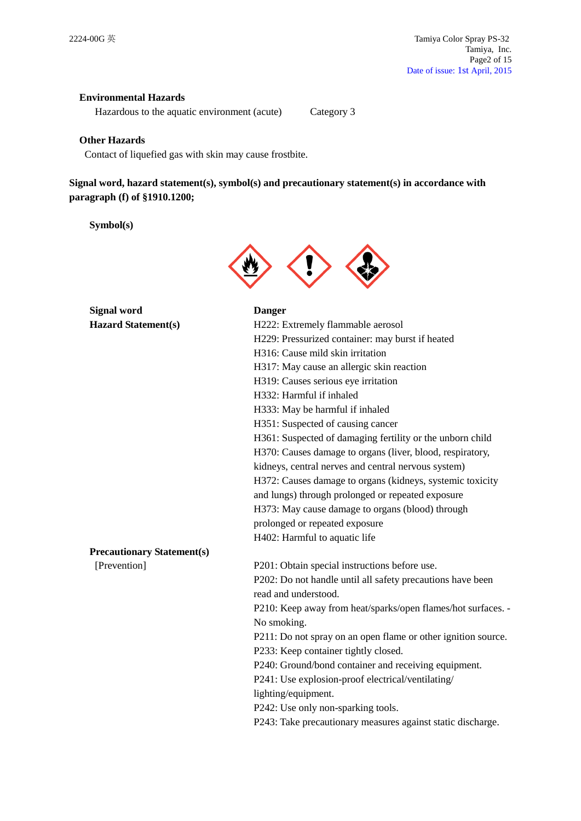# **Environmental Hazards**

Hazardous to the aquatic environment (acute) Category 3

### **Other Hazards**

Contact of liquefied gas with skin may cause frostbite.

# **Signal word, hazard statement(s), symbol(s) and precautionary statement(s) in accordance with paragraph (f) of §1910.1200;**

# **Symbol(s)**



| <b>Signal word</b>         |
|----------------------------|
| <b>Hazard Statement(s)</b> |

#### **Danger**

| <b>Hazard Statement(s)</b>        | H222: Extremely flammable aerosol                             |
|-----------------------------------|---------------------------------------------------------------|
|                                   | H229: Pressurized container: may burst if heated              |
|                                   | H316: Cause mild skin irritation                              |
|                                   | H317: May cause an allergic skin reaction                     |
|                                   | H319: Causes serious eye irritation                           |
|                                   | H332: Harmful if inhaled                                      |
|                                   | H333: May be harmful if inhaled                               |
|                                   | H351: Suspected of causing cancer                             |
|                                   | H361: Suspected of damaging fertility or the unborn child     |
|                                   | H370: Causes damage to organs (liver, blood, respiratory,     |
|                                   | kidneys, central nerves and central nervous system)           |
|                                   | H372: Causes damage to organs (kidneys, systemic toxicity     |
|                                   | and lungs) through prolonged or repeated exposure             |
|                                   | H373: May cause damage to organs (blood) through              |
|                                   | prolonged or repeated exposure                                |
|                                   | H402: Harmful to aquatic life                                 |
| <b>Precautionary Statement(s)</b> |                                                               |
| [Prevention]                      | P201: Obtain special instructions before use.                 |
|                                   | P202: Do not handle until all safety precautions have been    |
|                                   | read and understood.                                          |
|                                   | P210: Keep away from heat/sparks/open flames/hot surfaces. -  |
|                                   | No smoking.                                                   |
|                                   | P211: Do not spray on an open flame or other ignition source. |
|                                   | P233: Keep container tightly closed.                          |
|                                   | P240: Ground/bond container and receiving equipment.          |
|                                   | P241: Use explosion-proof electrical/ventilating/             |
|                                   | lighting/equipment.                                           |
|                                   | P242: Use only non-sparking tools.                            |
|                                   | P243: Take precautionary measures against static discharge.   |
|                                   |                                                               |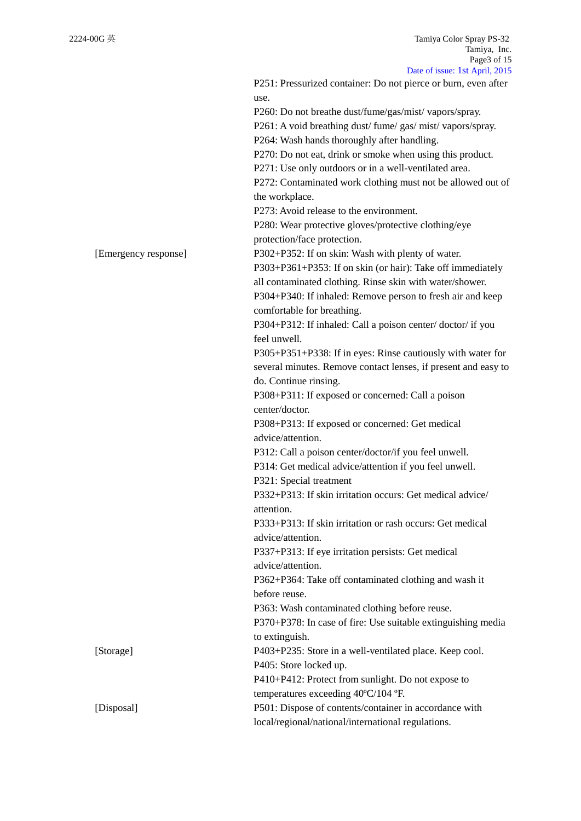|                      | Date of $1880^\circ$ . TSt April, $2013$                       |
|----------------------|----------------------------------------------------------------|
|                      | P251: Pressurized container: Do not pierce or burn, even after |
|                      | use.                                                           |
|                      | P260: Do not breathe dust/fume/gas/mist/vapors/spray.          |
|                      | P261: A void breathing dust/fume/gas/mist/vapors/spray.        |
|                      | P264: Wash hands thoroughly after handling.                    |
|                      | P270: Do not eat, drink or smoke when using this product.      |
|                      | P271: Use only outdoors or in a well-ventilated area.          |
|                      | P272: Contaminated work clothing must not be allowed out of    |
|                      | the workplace.                                                 |
|                      | P273: Avoid release to the environment.                        |
|                      | P280: Wear protective gloves/protective clothing/eye           |
|                      | protection/face protection.                                    |
| [Emergency response] | P302+P352: If on skin: Wash with plenty of water.              |
|                      | P303+P361+P353: If on skin (or hair): Take off immediately     |
|                      | all contaminated clothing. Rinse skin with water/shower.       |
|                      | P304+P340: If inhaled: Remove person to fresh air and keep     |
|                      | comfortable for breathing.                                     |
|                      | P304+P312: If inhaled: Call a poison center/doctor/if you      |
|                      | feel unwell.                                                   |
|                      | P305+P351+P338: If in eyes: Rinse cautiously with water for    |
|                      | several minutes. Remove contact lenses, if present and easy to |
|                      | do. Continue rinsing.                                          |
|                      |                                                                |
|                      | P308+P311: If exposed or concerned: Call a poison              |
|                      | center/doctor.                                                 |
|                      | P308+P313: If exposed or concerned: Get medical                |
|                      | advice/attention.                                              |
|                      | P312: Call a poison center/doctor/if you feel unwell.          |
|                      | P314: Get medical advice/attention if you feel unwell.         |
|                      | P321: Special treatment                                        |
|                      | P332+P313: If skin irritation occurs: Get medical advice/      |
|                      | attention.                                                     |
|                      | P333+P313: If skin irritation or rash occurs: Get medical      |
|                      | advice/attention.                                              |
|                      | P337+P313: If eye irritation persists: Get medical             |
|                      | advice/attention.                                              |
|                      | P362+P364: Take off contaminated clothing and wash it          |
|                      | before reuse.                                                  |
|                      | P363: Wash contaminated clothing before reuse.                 |
|                      | P370+P378: In case of fire: Use suitable extinguishing media   |
|                      | to extinguish.                                                 |
| [Storage]            | P403+P235: Store in a well-ventilated place. Keep cool.        |
|                      | P405: Store locked up.                                         |
|                      | P410+P412: Protect from sunlight. Do not expose to             |
|                      | temperatures exceeding 40°C/104 °F.                            |
| [Disposal]           | P501: Dispose of contents/container in accordance with         |
|                      | local/regional/national/international regulations.             |
|                      |                                                                |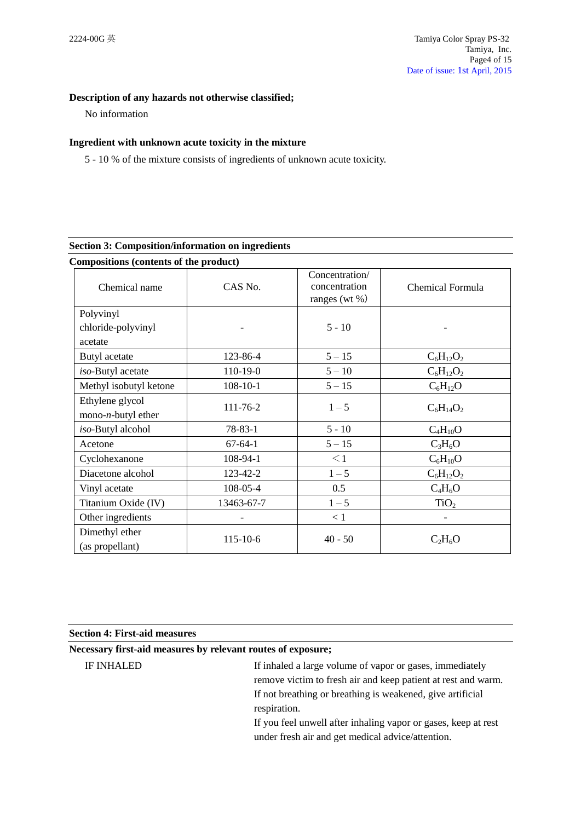# **Description of any hazards not otherwise classified;**

No information

# **Ingredient with unknown acute toxicity in the mixture**

5 - 10 % of the mixture consists of ingredients of unknown acute toxicity.

# **Section 3: Composition/information on ingredients**

| Compositions (contents of the product)   |                |                                                      |                  |
|------------------------------------------|----------------|------------------------------------------------------|------------------|
| Chemical name                            | CAS No.        | Concentration/<br>concentration<br>ranges (wt $\%$ ) | Chemical Formula |
| Polyvinyl                                |                |                                                      |                  |
| chloride-polyvinyl<br>acetate            |                | $5 - 10$                                             |                  |
| Butyl acetate                            | 123-86-4       | $5 - 15$                                             | $C_6H_{12}O_2$   |
| iso-Butyl acetate                        | 110-19-0       | $5 - 10$                                             | $C_6H_{12}O_2$   |
| Methyl isobutyl ketone                   | $108-10-1$     | $5 - 15$                                             | $C_6H_{12}O$     |
| Ethylene glycol<br>$mono-n$ -butyl ether | 111-76-2       | $1 - 5$                                              | $C_6H_{14}O_2$   |
| iso-Butyl alcohol                        | $78 - 83 - 1$  | $5 - 10$                                             | $C_4H_{10}O$     |
| Acetone                                  | $67 - 64 - 1$  | $5 - 15$                                             | $C_3H_6O$        |
| Cyclohexanone                            | 108-94-1       | $\leq$ 1                                             | $C_6H_{10}O$     |
| Diacetone alcohol                        | 123-42-2       | $1 - 5$                                              | $C_6H_{12}O_2$   |
| Vinyl acetate                            | 108-05-4       | 0.5                                                  | $C_4H_6O$        |
| Titanium Oxide (IV)                      | 13463-67-7     | $1 - 5$                                              | TiO <sub>2</sub> |
| Other ingredients                        |                | < 1                                                  |                  |
| Dimethyl ether<br>(as propellant)        | $115 - 10 - 6$ | $40 - 50$                                            | $C_2H_6O$        |

| <b>Section 4: First-aid measures</b>                         |                                                                                                                                                                                                                                                                                                                                |  |
|--------------------------------------------------------------|--------------------------------------------------------------------------------------------------------------------------------------------------------------------------------------------------------------------------------------------------------------------------------------------------------------------------------|--|
| Necessary first-aid measures by relevant routes of exposure; |                                                                                                                                                                                                                                                                                                                                |  |
| <b>IF INHALED</b>                                            | If inhaled a large volume of vapor or gases, immediately<br>remove victim to fresh air and keep patient at rest and warm.<br>If not breathing or breathing is weakened, give artificial<br>respiration.<br>If you feel unwell after inhaling vapor or gases, keep at rest<br>under fresh air and get medical advice/attention. |  |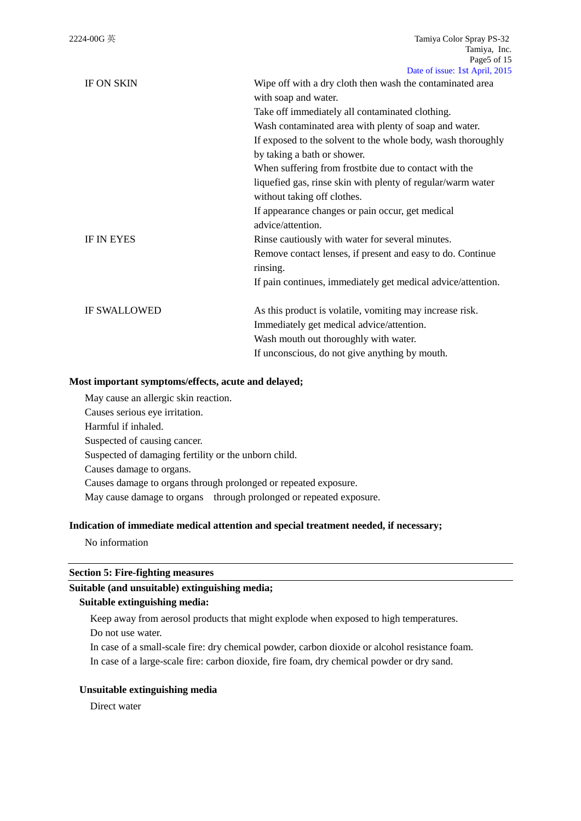| <b>IF ON SKIN</b>   | Wipe off with a dry cloth then wash the contaminated area<br>with soap and water. |
|---------------------|-----------------------------------------------------------------------------------|
|                     | Take off immediately all contaminated clothing.                                   |
|                     | Wash contaminated area with plenty of soap and water.                             |
|                     | If exposed to the solvent to the whole body, wash thoroughly                      |
|                     | by taking a bath or shower.                                                       |
|                     | When suffering from frostbite due to contact with the                             |
|                     | liquefied gas, rinse skin with plenty of regular/warm water                       |
|                     | without taking off clothes.                                                       |
|                     | If appearance changes or pain occur, get medical                                  |
|                     | advice/attention.                                                                 |
| IF IN EYES          | Rinse cautiously with water for several minutes.                                  |
|                     | Remove contact lenses, if present and easy to do. Continue<br>rinsing.            |
|                     | If pain continues, immediately get medical advice/attention.                      |
| <b>IF SWALLOWED</b> | As this product is volatile, vomiting may increase risk.                          |
|                     | Immediately get medical advice/attention.                                         |
|                     | Wash mouth out thoroughly with water.                                             |
|                     | If unconscious, do not give anything by mouth.                                    |

### **Most important symptoms/effects, acute and delayed;**

May cause an allergic skin reaction. Causes serious eye irritation. Harmful if inhaled. Suspected of causing cancer. Suspected of damaging fertility or the unborn child. Causes damage to organs. Causes damage to organs through prolonged or repeated exposure. May cause damage to organs through prolonged or repeated exposure.

#### **Indication of immediate medical attention and special treatment needed, if necessary;**

No information

# **Section 5: Fire-fighting measures**

### **Suitable (and unsuitable) extinguishing media;**

#### **Suitable extinguishing media:**

Keep away from aerosol products that might explode when exposed to high temperatures. Do not use water.

In case of a small-scale fire: dry chemical powder, carbon dioxide or alcohol resistance foam. In case of a large-scale fire: carbon dioxide, fire foam, dry chemical powder or dry sand.

# **Unsuitable extinguishing media**

Direct water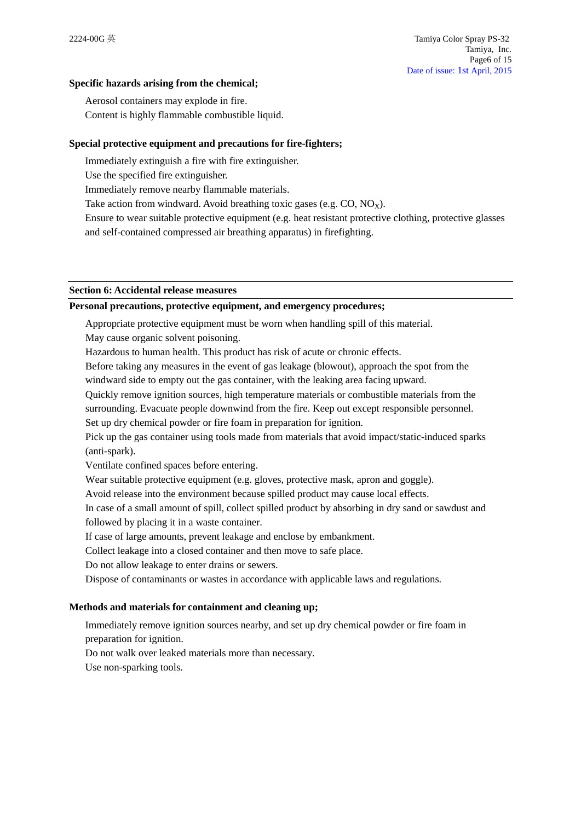### **Specific hazards arising from the chemical;**

Aerosol containers may explode in fire. Content is highly flammable combustible liquid.

### **Special protective equipment and precautions for fire-fighters;**

Immediately extinguish a fire with fire extinguisher.

Use the specified fire extinguisher.

Immediately remove nearby flammable materials.

Take action from windward. Avoid breathing toxic gases (e.g.  $CO$ ,  $NO_X$ ).

Ensure to wear suitable protective equipment (e.g. heat resistant protective clothing, protective glasses and self-contained compressed air breathing apparatus) in firefighting.

### **Section 6: Accidental release measures**

### **Personal precautions, protective equipment, and emergency procedures;**

Appropriate protective equipment must be worn when handling spill of this material.

May cause organic solvent poisoning.

Hazardous to human health. This product has risk of acute or chronic effects.

Before taking any measures in the event of gas leakage (blowout), approach the spot from the windward side to empty out the gas container, with the leaking area facing upward.

Quickly remove ignition sources, high temperature materials or combustible materials from the

surrounding. Evacuate people downwind from the fire. Keep out except responsible personnel. Set up dry chemical powder or fire foam in preparation for ignition.

Pick up the gas container using tools made from materials that avoid impact/static-induced sparks (anti-spark).

Ventilate confined spaces before entering.

Wear suitable protective equipment (e.g. gloves, protective mask, apron and goggle).

Avoid release into the environment because spilled product may cause local effects.

In case of a small amount of spill, collect spilled product by absorbing in dry sand or sawdust and followed by placing it in a waste container.

If case of large amounts, prevent leakage and enclose by embankment.

Collect leakage into a closed container and then move to safe place.

Do not allow leakage to enter drains or sewers.

Dispose of contaminants or wastes in accordance with applicable laws and regulations.

# **Methods and materials for containment and cleaning up;**

Immediately remove ignition sources nearby, and set up dry chemical powder or fire foam in preparation for ignition.

Do not walk over leaked materials more than necessary.

Use non-sparking tools.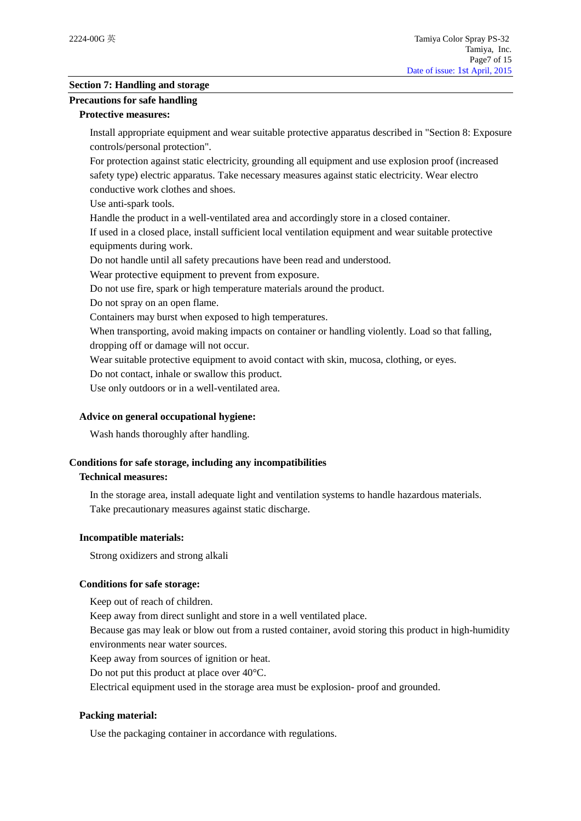# **Section 7: Handling and storage**

### **Precautions for safe handling**

### **Protective measures:**

Install appropriate equipment and wear suitable protective apparatus described in "Section 8: Exposure controls/personal protection".

For protection against static electricity, grounding all equipment and use explosion proof (increased safety type) electric apparatus. Take necessary measures against static electricity. Wear electro conductive work clothes and shoes.

Use anti-spark tools.

Handle the product in a well-ventilated area and accordingly store in a closed container.

If used in a closed place, install sufficient local ventilation equipment and wear suitable protective equipments during work.

Do not handle until all safety precautions have been read and understood.

Wear protective equipment to prevent from exposure.

Do not use fire, spark or high temperature materials around the product.

Do not spray on an open flame.

Containers may burst when exposed to high temperatures.

When transporting, avoid making impacts on container or handling violently. Load so that falling, dropping off or damage will not occur.

Wear suitable protective equipment to avoid contact with skin, mucosa, clothing, or eyes.

Do not contact, inhale or swallow this product.

Use only outdoors or in a well-ventilated area.

# **Advice on general occupational hygiene:**

Wash hands thoroughly after handling.

# **Conditions for safe storage, including any incompatibilities**

#### **Technical measures:**

In the storage area, install adequate light and ventilation systems to handle hazardous materials. Take precautionary measures against static discharge.

#### **Incompatible materials:**

Strong oxidizers and strong alkali

# **Conditions for safe storage:**

Keep out of reach of children.

Keep away from direct sunlight and store in a well ventilated place.

Because gas may leak or blow out from a rusted container, avoid storing this product in high-humidity environments near water sources.

Keep away from sources of ignition or heat.

Do not put this product at place over 40°C.

Electrical equipment used in the storage area must be explosion- proof and grounded.

# **Packing material:**

Use the packaging container in accordance with regulations.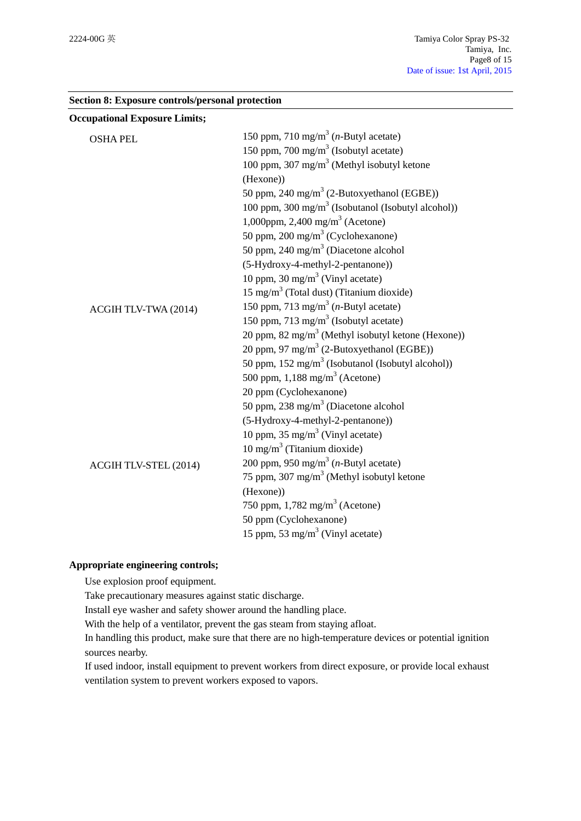**Section 8: Exposure controls/personal protection**

| <b>Occupational Exposure Limits;</b> |                                                                |
|--------------------------------------|----------------------------------------------------------------|
| <b>OSHA PEL</b>                      | 150 ppm, 710 mg/m <sup>3</sup> ( <i>n</i> -Butyl acetate)      |
|                                      | 150 ppm, 700 mg/m <sup>3</sup> (Isobutyl acetate)              |
|                                      | 100 ppm, 307 mg/m <sup>3</sup> (Methyl isobutyl ketone         |
|                                      | (Hexone))                                                      |
|                                      | 50 ppm, 240 mg/m <sup>3</sup> (2-Butoxyethanol (EGBE))         |
|                                      | 100 ppm, 300 mg/m <sup>3</sup> (Isobutanol (Isobutyl alcohol)) |
|                                      | 1,000ppm, 2,400 mg/m <sup>3</sup> (Acetone)                    |
|                                      | 50 ppm, 200 mg/m <sup>3</sup> (Cyclohexanone)                  |
|                                      | 50 ppm, 240 mg/m <sup>3</sup> (Diacetone alcohol               |
|                                      | (5-Hydroxy-4-methyl-2-pentanone))                              |
|                                      | 10 ppm, 30 mg/m <sup>3</sup> (Vinyl acetate)                   |
|                                      | $15 \text{ mg/m}^3$ (Total dust) (Titanium dioxide)            |
| ACGIH TLV-TWA (2014)                 | 150 ppm, 713 mg/m <sup>3</sup> ( <i>n</i> -Butyl acetate)      |
|                                      | 150 ppm, 713 mg/m <sup>3</sup> (Isobutyl acetate)              |
|                                      | 20 ppm, 82 mg/m <sup>3</sup> (Methyl isobutyl ketone (Hexone)) |
|                                      | 20 ppm, 97 mg/m <sup>3</sup> (2-Butoxyethanol (EGBE))          |
|                                      | 50 ppm, $152 \text{ mg/m}^3$ (Isobutanol (Isobutyl alcohol))   |
|                                      | 500 ppm, $1,188$ mg/m <sup>3</sup> (Acetone)                   |
|                                      | 20 ppm (Cyclohexanone)                                         |
|                                      | 50 ppm, 238 mg/m <sup>3</sup> (Diacetone alcohol               |
|                                      | (5-Hydroxy-4-methyl-2-pentanone))                              |
|                                      | 10 ppm, 35 mg/m <sup>3</sup> (Vinyl acetate)                   |
|                                      | $10 \text{ mg/m}^3$ (Titanium dioxide)                         |
| ACGIH TLV-STEL (2014)                | 200 ppm, 950 mg/m <sup>3</sup> ( <i>n</i> -Butyl acetate)      |
|                                      | 75 ppm, 307 mg/m <sup>3</sup> (Methyl isobutyl ketone          |
|                                      | (Hexone))                                                      |
|                                      | 750 ppm, $1,782$ mg/m <sup>3</sup> (Acetone)                   |
|                                      | 50 ppm (Cyclohexanone)                                         |
|                                      | 15 ppm, 53 mg/m <sup>3</sup> (Vinyl acetate)                   |

# **Appropriate engineering controls;**

Use explosion proof equipment.

Take precautionary measures against static discharge.

Install eye washer and safety shower around the handling place.

With the help of a ventilator, prevent the gas steam from staying afloat.

In handling this product, make sure that there are no high-temperature devices or potential ignition sources nearby.

If used indoor, install equipment to prevent workers from direct exposure, or provide local exhaust ventilation system to prevent workers exposed to vapors.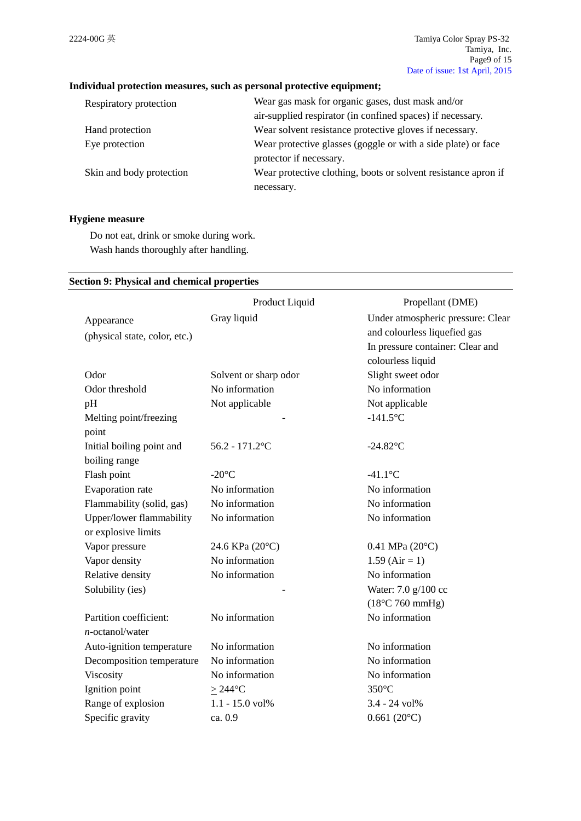# **Individual protection measures, such as personal protective equipment;**

| Respiratory protection   | Wear gas mask for organic gases, dust mask and/or              |
|--------------------------|----------------------------------------------------------------|
|                          | air-supplied respirator (in confined spaces) if necessary.     |
| Hand protection          | Wear solvent resistance protective gloves if necessary.        |
| Eye protection           | Wear protective glasses (goggle or with a side plate) or face  |
|                          | protector if necessary.                                        |
| Skin and body protection | Wear protective clothing, boots or solvent resistance apron if |
|                          | necessary.                                                     |

# **Hygiene measure**

Do not eat, drink or smoke during work. Wash hands thoroughly after handling.

### **Section 9: Physical and chemical properties**

|                               | Product Liquid        | Propellant (DME)                  |
|-------------------------------|-----------------------|-----------------------------------|
| Appearance                    | Gray liquid           | Under atmospheric pressure: Clear |
| (physical state, color, etc.) |                       | and colourless liquefied gas      |
|                               |                       | In pressure container: Clear and  |
|                               |                       | colourless liquid                 |
| Odor                          | Solvent or sharp odor | Slight sweet odor                 |
| Odor threshold                | No information        | No information                    |
| pH                            | Not applicable        | Not applicable                    |
| Melting point/freezing        |                       | $-141.5$ °C                       |
| point                         |                       |                                   |
| Initial boiling point and     | $56.2 - 171.2$ °C     | $-24.82$ °C                       |
| boiling range                 |                       |                                   |
| Flash point                   | $-20^{\circ}$ C       | $-41.1$ °C                        |
| Evaporation rate              | No information        | No information                    |
| Flammability (solid, gas)     | No information        | No information                    |
| Upper/lower flammability      | No information        | No information                    |
| or explosive limits           |                       |                                   |
| Vapor pressure                | 24.6 KPa (20°C)       | $0.41$ MPa $(20^{\circ}C)$        |
| Vapor density                 | No information        | $1.59$ (Air = 1)                  |
| Relative density              | No information        | No information                    |
| Solubility (ies)              |                       | Water: 7.0 g/100 cc               |
|                               |                       | $(18^{\circ}$ C 760 mmHg)         |
| Partition coefficient:        | No information        | No information                    |
| $n$ -octanol/water            |                       |                                   |
| Auto-ignition temperature     | No information        | No information                    |
| Decomposition temperature     | No information        | No information                    |
| Viscosity                     | No information        | No information                    |
| Ignition point                | $\geq$ 244°C          | $350^{\circ}$ C                   |
| Range of explosion            | 1.1 - 15.0 vol%       | 3.4 - 24 vol%                     |
| Specific gravity              | ca. 0.9               | $0.661(20^{\circ}C)$              |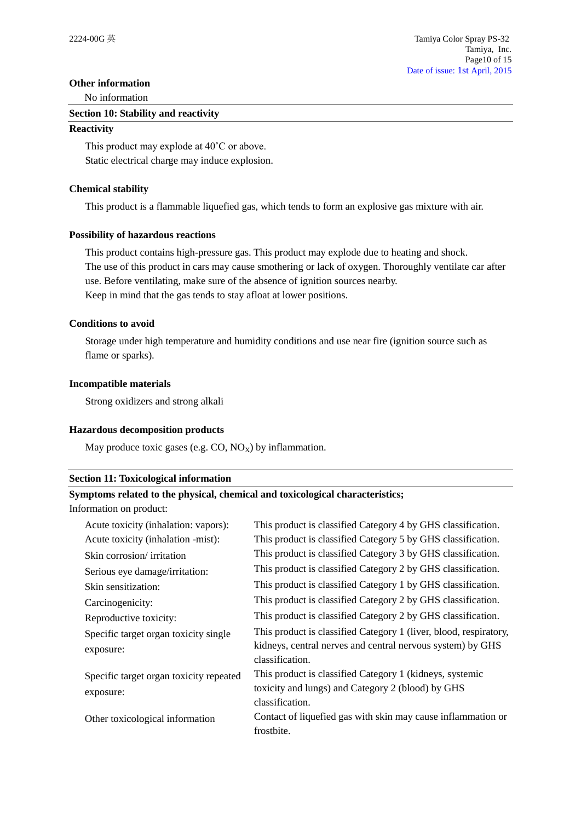#### **Other information**

No information

#### **Section 10: Stability and reactivity**

#### **Reactivity**

This product may explode at 40˚C or above. Static electrical charge may induce explosion.

### **Chemical stability**

This product is a flammable liquefied gas, which tends to form an explosive gas mixture with air.

#### **Possibility of hazardous reactions**

This product contains high-pressure gas. This product may explode due to heating and shock. The use of this product in cars may cause smothering or lack of oxygen. Thoroughly ventilate car after use. Before ventilating, make sure of the absence of ignition sources nearby. Keep in mind that the gas tends to stay afloat at lower positions.

### **Conditions to avoid**

Storage under high temperature and humidity conditions and use near fire (ignition source such as flame or sparks).

#### **Incompatible materials**

Strong oxidizers and strong alkali

#### **Hazardous decomposition products**

May produce toxic gases (e.g.  $CO$ ,  $NO_X$ ) by inflammation.

#### **Section 11: Toxicological information**

### **Symptoms related to the physical, chemical and toxicological characteristics;**

Information on product:

| Acute toxicity (inhalation: vapors):    | This product is classified Category 4 by GHS classification.                  |
|-----------------------------------------|-------------------------------------------------------------------------------|
| Acute toxicity (inhalation -mist):      | This product is classified Category 5 by GHS classification.                  |
| Skin corrosion/ irritation              | This product is classified Category 3 by GHS classification.                  |
| Serious eye damage/irritation:          | This product is classified Category 2 by GHS classification.                  |
| Skin sensitization:                     | This product is classified Category 1 by GHS classification.                  |
| Carcinogenicity:                        | This product is classified Category 2 by GHS classification.                  |
| Reproductive toxicity:                  | This product is classified Category 2 by GHS classification.                  |
| Specific target organ toxicity single   | This product is classified Category 1 (liver, blood, respiratory,             |
| exposure:                               | kidneys, central nerves and central nervous system) by GHS<br>classification. |
| Specific target organ toxicity repeated | This product is classified Category 1 (kidneys, systemic                      |
| exposure:                               | toxicity and lungs) and Category 2 (blood) by GHS                             |
|                                         | classification.                                                               |
| Other toxicological information         | Contact of liquefied gas with skin may cause inflammation or                  |
|                                         | frostbite.                                                                    |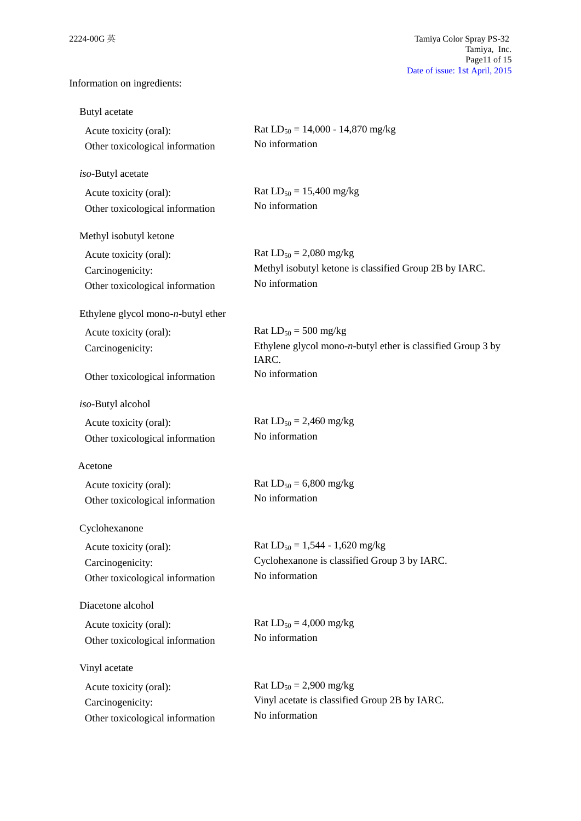Information on ingredients:

| Butyl acetate                                                                 |                                                                                                         |
|-------------------------------------------------------------------------------|---------------------------------------------------------------------------------------------------------|
| Acute toxicity (oral):<br>Other toxicological information                     | Rat $LD_{50} = 14,000 - 14,870$ mg/kg<br>No information                                                 |
| iso-Butyl acetate                                                             |                                                                                                         |
| Acute toxicity (oral):<br>Other toxicological information                     | Rat $LD_{50} = 15,400$ mg/kg<br>No information                                                          |
| Methyl isobutyl ketone                                                        |                                                                                                         |
| Acute toxicity (oral):<br>Carcinogenicity:<br>Other toxicological information | Rat $LD_{50} = 2,080$ mg/kg<br>Methyl isobutyl ketone is classified Group 2B by IARC.<br>No information |
| Ethylene glycol mono- $n$ -butyl ether                                        |                                                                                                         |
| Acute toxicity (oral):<br>Carcinogenicity:                                    | Rat $LD_{50} = 500$ mg/kg<br>Ethylene glycol mono- $n$ -butyl ether is classified Group 3 by<br>IARC.   |
| Other toxicological information                                               | No information                                                                                          |
| iso-Butyl alcohol                                                             |                                                                                                         |
| Acute toxicity (oral):<br>Other toxicological information                     | Rat $LD_{50} = 2,460$ mg/kg<br>No information                                                           |
| Acetone                                                                       |                                                                                                         |
| Acute toxicity (oral):<br>Other toxicological information                     | Rat $LD_{50} = 6,800$ mg/kg<br>No information                                                           |
| Cyclohexanone                                                                 |                                                                                                         |
| Acute toxicity (oral):<br>Carcinogenicity:<br>Other toxicological information | Rat $LD_{50} = 1,544 - 1,620$ mg/kg<br>Cyclohexanone is classified Group 3 by IARC.<br>No information   |
| Diacetone alcohol                                                             |                                                                                                         |
| Acute toxicity (oral):<br>Other toxicological information                     | Rat $LD_{50} = 4,000$ mg/kg<br>No information                                                           |
| Vinyl acetate                                                                 |                                                                                                         |
| Acute toxicity (oral):<br>Carcinogenicity:<br>Other toxicological information | Rat $LD_{50} = 2,900$ mg/kg<br>Vinyl acetate is classified Group 2B by IARC.<br>No information          |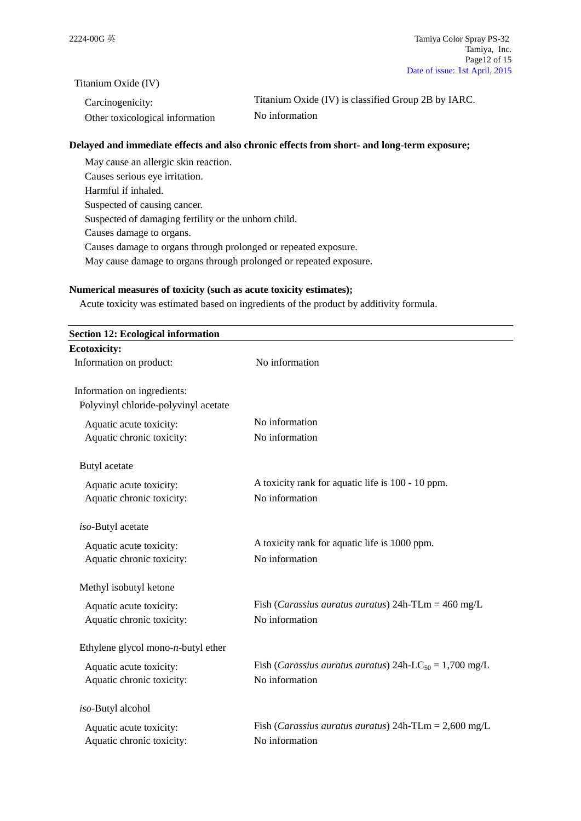Titanium Oxide (IV)

| Carcinogenicity:                | Titanium Oxide (IV) is classified Group 2B by IARC. |
|---------------------------------|-----------------------------------------------------|
| Other toxicological information | No information                                      |

# **Delayed and immediate effects and also chronic effects from short- and long-term exposure;**

May cause an allergic skin reaction. Causes serious eye irritation. Harmful if inhaled. Suspected of causing cancer. Suspected of damaging fertility or the unborn child. Causes damage to organs. Causes damage to organs through prolonged or repeated exposure. May cause damage to organs through prolonged or repeated exposure.

### **Numerical measures of toxicity (such as acute toxicity estimates);**

Acute toxicity was estimated based on ingredients of the product by additivity formula.

| <b>Section 12: Ecological information</b> |                                                                             |
|-------------------------------------------|-----------------------------------------------------------------------------|
| <b>Ecotoxicity:</b>                       |                                                                             |
| Information on product:                   | No information                                                              |
| Information on ingredients:               |                                                                             |
| Polyvinyl chloride-polyvinyl acetate      |                                                                             |
| Aquatic acute toxicity:                   | No information                                                              |
| Aquatic chronic toxicity:                 | No information                                                              |
| Butyl acetate                             |                                                                             |
| Aquatic acute toxicity:                   | A toxicity rank for aquatic life is 100 - 10 ppm.                           |
| Aquatic chronic toxicity:                 | No information                                                              |
| iso-Butyl acetate                         |                                                                             |
| Aquatic acute toxicity:                   | A toxicity rank for aquatic life is 1000 ppm.                               |
| Aquatic chronic toxicity:                 | No information                                                              |
| Methyl isobutyl ketone                    |                                                                             |
| Aquatic acute toxicity:                   | Fish ( <i>Carassius auratus auratus</i> ) 24h-TLm = $460 \text{ mg/L}$      |
| Aquatic chronic toxicity:                 | No information                                                              |
| Ethylene glycol mono- $n$ -butyl ether    |                                                                             |
| Aquatic acute toxicity:                   | Fish ( <i>Carassius auratus auratus</i> ) 24h-LC <sub>50</sub> = 1,700 mg/L |
| Aquatic chronic toxicity:                 | No information                                                              |
| iso-Butyl alcohol                         |                                                                             |
| Aquatic acute toxicity:                   | Fish ( <i>Carassius auratus auratus</i> ) 24h-TLm = $2,600 \text{ mg/L}$    |
| Aquatic chronic toxicity:                 | No information                                                              |
|                                           |                                                                             |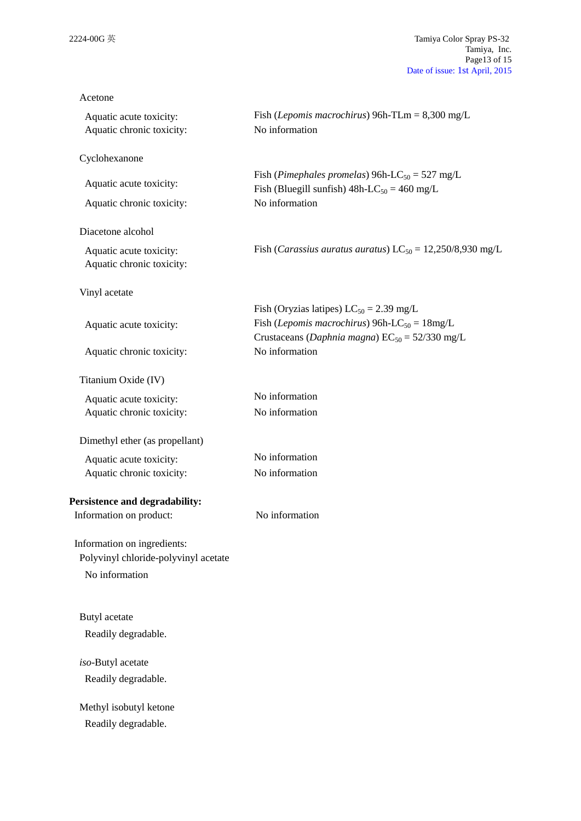| Acetone                                              |                                                                                                                                                                            |
|------------------------------------------------------|----------------------------------------------------------------------------------------------------------------------------------------------------------------------------|
| Aquatic acute toxicity:<br>Aquatic chronic toxicity: | Fish ( <i>Lepomis macrochirus</i> ) 96h-TLm = $8,300$ mg/L<br>No information                                                                                               |
| Cyclohexanone                                        |                                                                                                                                                                            |
| Aquatic acute toxicity:                              | Fish (Pimephales promelas) 96h-LC <sub>50</sub> = 527 mg/L<br>Fish (Bluegill sunfish) $48h$ -LC <sub>50</sub> = 460 mg/L                                                   |
| Aquatic chronic toxicity:                            | No information                                                                                                                                                             |
| Diacetone alcohol                                    |                                                                                                                                                                            |
| Aquatic acute toxicity:<br>Aquatic chronic toxicity: | Fish ( <i>Carassius auratus auratus</i> ) $LC_{50} = 12,250/8,930$ mg/L                                                                                                    |
| Vinyl acetate                                        |                                                                                                                                                                            |
| Aquatic acute toxicity:                              | Fish (Oryzias latipes) $LC_{50} = 2.39$ mg/L<br>Fish ( <i>Lepomis macrochirus</i> ) 96h-LC <sub>50</sub> = $18mg/L$<br>Crustaceans (Daphnia magna) $EC_{50} = 52/330$ mg/L |
| Aquatic chronic toxicity:                            | No information                                                                                                                                                             |
| Titanium Oxide (IV)                                  |                                                                                                                                                                            |
| Aquatic acute toxicity:<br>Aquatic chronic toxicity: | No information<br>No information                                                                                                                                           |
| Dimethyl ether (as propellant)                       |                                                                                                                                                                            |
| Aquatic acute toxicity:                              | No information                                                                                                                                                             |
| Aquatic chronic toxicity:                            | No information                                                                                                                                                             |
| Persistence and degradability:                       |                                                                                                                                                                            |
| Information on product:                              | No information                                                                                                                                                             |
| Information on ingredients:                          |                                                                                                                                                                            |
| Polyvinyl chloride-polyvinyl acetate                 |                                                                                                                                                                            |
| No information                                       |                                                                                                                                                                            |
| Butyl acetate                                        |                                                                                                                                                                            |
| Readily degradable.                                  |                                                                                                                                                                            |
| iso-Butyl acetate                                    |                                                                                                                                                                            |
| Readily degradable.                                  |                                                                                                                                                                            |
| Methyl isobutyl ketone                               |                                                                                                                                                                            |
| Readily degradable.                                  |                                                                                                                                                                            |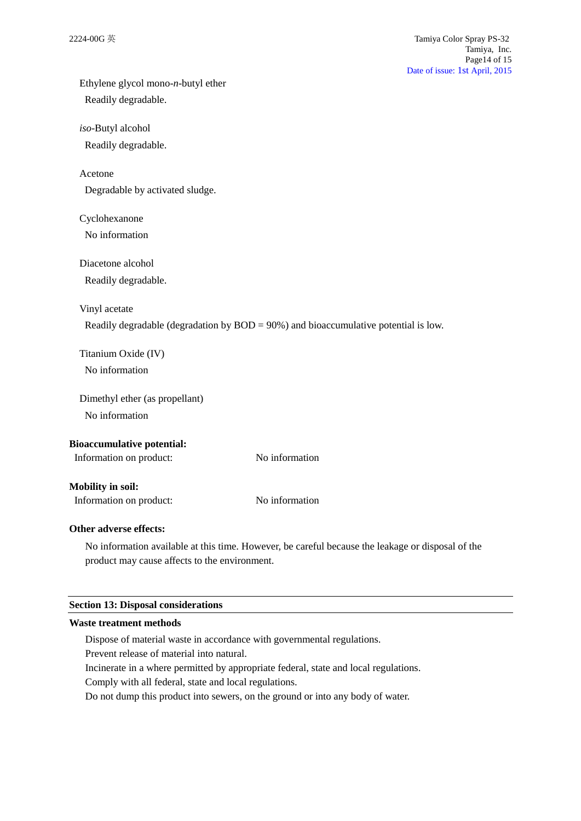Ethylene glycol mono-*n*-butyl ether Readily degradable.

*iso*-Butyl alcohol

Readily degradable.

Acetone

Degradable by activated sludge.

Cyclohexanone

No information

Diacetone alcohol

Readily degradable.

Vinyl acetate

Readily degradable (degradation by BOD = 90%) and bioaccumulative potential is low.

Titanium Oxide (IV) No information

Dimethyl ether (as propellant)

No information

# **Bioaccumulative potential:**

Information on product: No information

### **Mobility in soil:**

Information on product: No information

# **Other adverse effects:**

No information available at this time. However, be careful because the leakage or disposal of the product may cause affects to the environment.

#### **Section 13: Disposal considerations**

#### **Waste treatment methods**

Dispose of material waste in accordance with governmental regulations.

Prevent release of material into natural.

Incinerate in a where permitted by appropriate federal, state and local regulations.

Comply with all federal, state and local regulations.

Do not dump this product into sewers, on the ground or into any body of water.